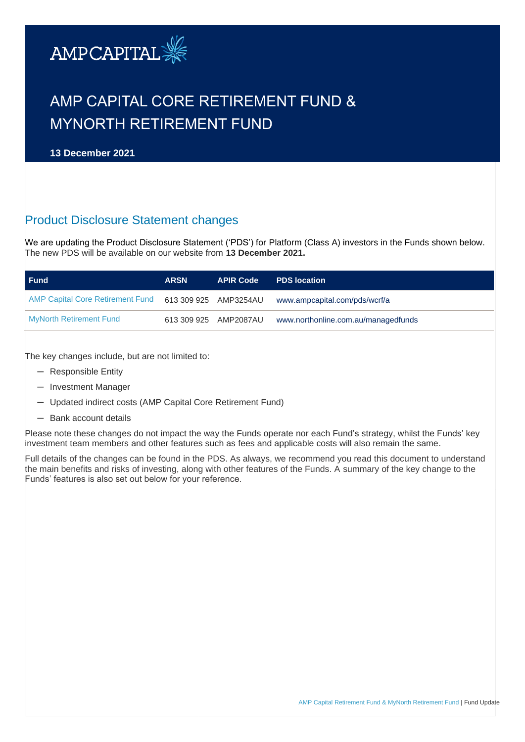

# AMP CAPITAL CORE RETIREMENT FUND & MYNORTH RETIREMENT FUND

**13 December 2021**

## Product Disclosure Statement changes

We are updating the Product Disclosure Statement ('PDS') for Platform (Class A) investors in the Funds shown below. The new PDS will be available on our website from **13 December 2021.** 

| <b>Fund</b>                             | <b>ARSN</b> | <b>APIR Code</b>      | <b>PDS</b> location                 |
|-----------------------------------------|-------------|-----------------------|-------------------------------------|
| <b>AMP Capital Core Retirement Fund</b> |             | 613 309 925 AMP3254AU | www.ampcapital.com/pds/wcrf/a       |
| <b>MyNorth Retirement Fund</b>          |             | 613 309 925 AMP2087AU | www.northonline.com.au/managedfunds |

The key changes include, but are not limited to:

- ─ Responsible Entity
- ─ Investment Manager
- ─ Updated indirect costs (AMP Capital Core Retirement Fund)
- ─ Bank account details

Please note these changes do not impact the way the Funds operate nor each Fund's strategy, whilst the Funds' key investment team members and other features such as fees and applicable costs will also remain the same.

Full details of the changes can be found in the PDS. As always, we recommend you read this document to understand the main benefits and risks of investing, along with other features of the Funds. A summary of the key change to the Funds' features is also set out below for your reference.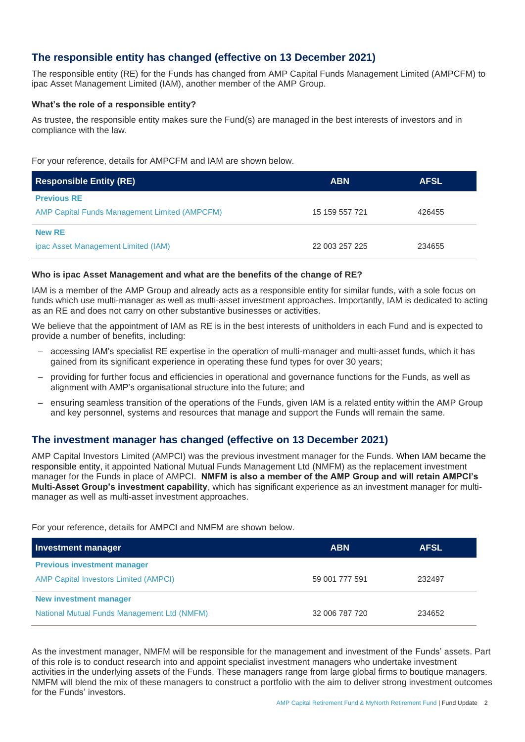## **The responsible entity has changed (effective on 13 December 2021)**

The responsible entity (RE) for the Funds has changed from AMP Capital Funds Management Limited (AMPCFM) to ipac Asset Management Limited (IAM), another member of the AMP Group.

### **What's the role of a responsible entity?**

As trustee, the responsible entity makes sure the Fund(s) are managed in the best interests of investors and in compliance with the law.

For your reference, details for AMPCFM and IAM are shown below.

| <b>Responsible Entity (RE)</b>                       | <b>ABN</b>     | <b>AFSL</b> |
|------------------------------------------------------|----------------|-------------|
| <b>Previous RE</b>                                   |                |             |
| <b>AMP Capital Funds Management Limited (AMPCFM)</b> | 15 159 557 721 | 426455      |
| <b>New RE</b>                                        |                |             |
| ipac Asset Management Limited (IAM)                  | 22 003 257 225 | 234655      |

#### **Who is ipac Asset Management and what are the benefits of the change of RE?**

IAM is a member of the AMP Group and already acts as a responsible entity for similar funds, with a sole focus on funds which use multi-manager as well as multi-asset investment approaches. Importantly, IAM is dedicated to acting as an RE and does not carry on other substantive businesses or activities.

We believe that the appointment of IAM as RE is in the best interests of unitholders in each Fund and is expected to provide a number of benefits, including:

- accessing IAM's specialist RE expertise in the operation of multi-manager and multi-asset funds, which it has gained from its significant experience in operating these fund types for over 30 years;
- providing for further focus and efficiencies in operational and governance functions for the Funds, as well as alignment with AMP's organisational structure into the future; and
- ensuring seamless transition of the operations of the Funds, given IAM is a related entity within the AMP Group and key personnel, systems and resources that manage and support the Funds will remain the same.

## **The investment manager has changed (effective on 13 December 2021)**

AMP Capital Investors Limited (AMPCI) was the previous investment manager for the Funds. When IAM became the responsible entity, it appointed National Mutual Funds Management Ltd (NMFM) as the replacement investment manager for the Funds in place of AMPCI. **NMFM is also a member of the AMP Group and will retain AMPCI's Multi-Asset Group's investment capability**, which has significant experience as an investment manager for multimanager as well as multi-asset investment approaches.

For your reference, details for AMPCI and NMFM are shown below.

| Investment manager                           | <b>ABN</b>     | <b>AFSL</b> |
|----------------------------------------------|----------------|-------------|
| <b>Previous investment manager</b>           |                |             |
| <b>AMP Capital Investors Limited (AMPCI)</b> | 59 001 777 591 | 232497      |
| New investment manager                       |                |             |
| National Mutual Funds Management Ltd (NMFM)  | 32 006 787 720 | 234652      |

As the investment manager, NMFM will be responsible for the management and investment of the Funds' assets. Part of this role is to conduct research into and appoint specialist investment managers who undertake investment activities in the underlying assets of the Funds. These managers range from large global firms to boutique managers. NMFM will blend the mix of these managers to construct a portfolio with the aim to deliver strong investment outcomes for the Funds' investors.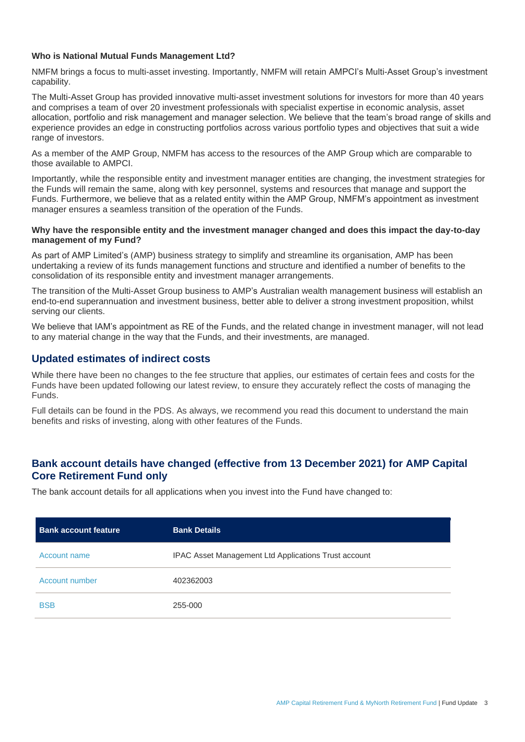#### **Who is National Mutual Funds Management Ltd?**

NMFM brings a focus to multi-asset investing. Importantly, NMFM will retain AMPCI's Multi-Asset Group's investment capability.

The Multi-Asset Group has provided innovative multi-asset investment solutions for investors for more than 40 years and comprises a team of over 20 investment professionals with specialist expertise in economic analysis, asset allocation, portfolio and risk management and manager selection. We believe that the team's broad range of skills and experience provides an edge in constructing portfolios across various portfolio types and objectives that suit a wide range of investors.

As a member of the AMP Group, NMFM has access to the resources of the AMP Group which are comparable to those available to AMPCI.

Importantly, while the responsible entity and investment manager entities are changing, the investment strategies for the Funds will remain the same, along with key personnel, systems and resources that manage and support the Funds. Furthermore, we believe that as a related entity within the AMP Group, NMFM's appointment as investment manager ensures a seamless transition of the operation of the Funds.

#### **Why have the responsible entity and the investment manager changed and does this impact the day-to-day management of my Fund?**

As part of AMP Limited's (AMP) business strategy to simplify and streamline its organisation, AMP has been undertaking a review of its funds management functions and structure and identified a number of benefits to the consolidation of its responsible entity and investment manager arrangements.

The transition of the Multi-Asset Group business to AMP's Australian wealth management business will establish an end-to-end superannuation and investment business, better able to deliver a strong investment proposition, whilst serving our clients.

We believe that IAM's appointment as RE of the Funds, and the related change in investment manager, will not lead to any material change in the way that the Funds, and their investments, are managed.

## **Updated estimates of indirect costs**

While there have been no changes to the fee structure that applies, our estimates of certain fees and costs for the Funds have been updated following our latest review, to ensure they accurately reflect the costs of managing the Funds.

Full details can be found in the PDS. As always, we recommend you read this document to understand the main benefits and risks of investing, along with other features of the Funds.

## **Bank account details have changed (effective from 13 December 2021) for AMP Capital Core Retirement Fund only**

The bank account details for all applications when you invest into the Fund have changed to:

| <b>Bank account feature</b> | <b>Bank Details</b>                                  |  |
|-----------------------------|------------------------------------------------------|--|
| Account name                | IPAC Asset Management Ltd Applications Trust account |  |
| Account number              | 402362003                                            |  |
| <b>BSB</b>                  | 255-000                                              |  |